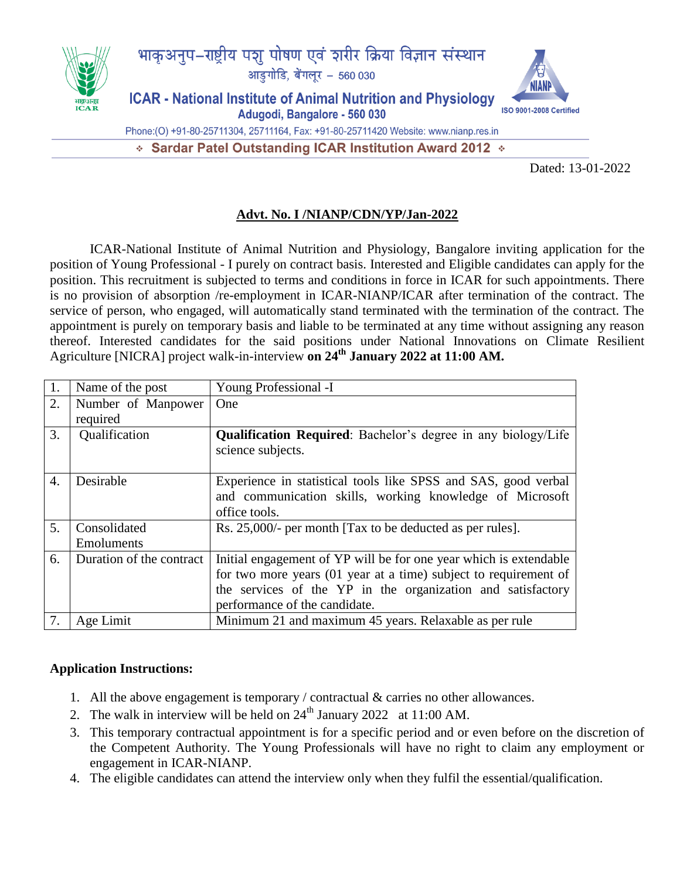

## **Advt. No. I /NIANP/CDN/YP/Jan-2022**

ICAR-National Institute of Animal Nutrition and Physiology, Bangalore inviting application for the position of Young Professional - I purely on contract basis. Interested and Eligible candidates can apply for the position. This recruitment is subjected to terms and conditions in force in ICAR for such appointments. There is no provision of absorption /re-employment in ICAR-NIANP/ICAR after termination of the contract. The service of person, who engaged, will automatically stand terminated with the termination of the contract. The appointment is purely on temporary basis and liable to be terminated at any time without assigning any reason thereof. Interested candidates for the said positions under National Innovations on Climate Resilient Agriculture [NICRA] project walk-in-interview **on 24th January 2022 at 11:00 AM.**

| 1.               | Name of the post                  | Young Professional -I                                                                                                                                                                                                                 |
|------------------|-----------------------------------|---------------------------------------------------------------------------------------------------------------------------------------------------------------------------------------------------------------------------------------|
| 2.               | Number of Manpower<br>required    | One                                                                                                                                                                                                                                   |
| 3.               | Qualification                     | <b>Qualification Required:</b> Bachelor's degree in any biology/Life<br>science subjects.                                                                                                                                             |
| $\overline{4}$ . | Desirable                         | Experience in statistical tools like SPSS and SAS, good verbal<br>and communication skills, working knowledge of Microsoft<br>office tools.                                                                                           |
| 5.               | Consolidated<br><b>Emoluments</b> | Rs. 25,000/- per month [Tax to be deducted as per rules].                                                                                                                                                                             |
| 6.               | Duration of the contract          | Initial engagement of YP will be for one year which is extendable<br>for two more years (01 year at a time) subject to requirement of<br>the services of the YP in the organization and satisfactory<br>performance of the candidate. |
| 7.               | Age Limit                         | Minimum 21 and maximum 45 years. Relaxable as per rule                                                                                                                                                                                |

## **Application Instructions:**

- 1. All the above engagement is temporary / contractual & carries no other allowances.
- 2. The walk in interview will be held on  $24<sup>th</sup>$  January 2022 at 11:00 AM.
- 3. This temporary contractual appointment is for a specific period and or even before on the discretion of the Competent Authority. The Young Professionals will have no right to claim any employment or engagement in ICAR-NIANP.
- 4. The eligible candidates can attend the interview only when they fulfil the essential/qualification.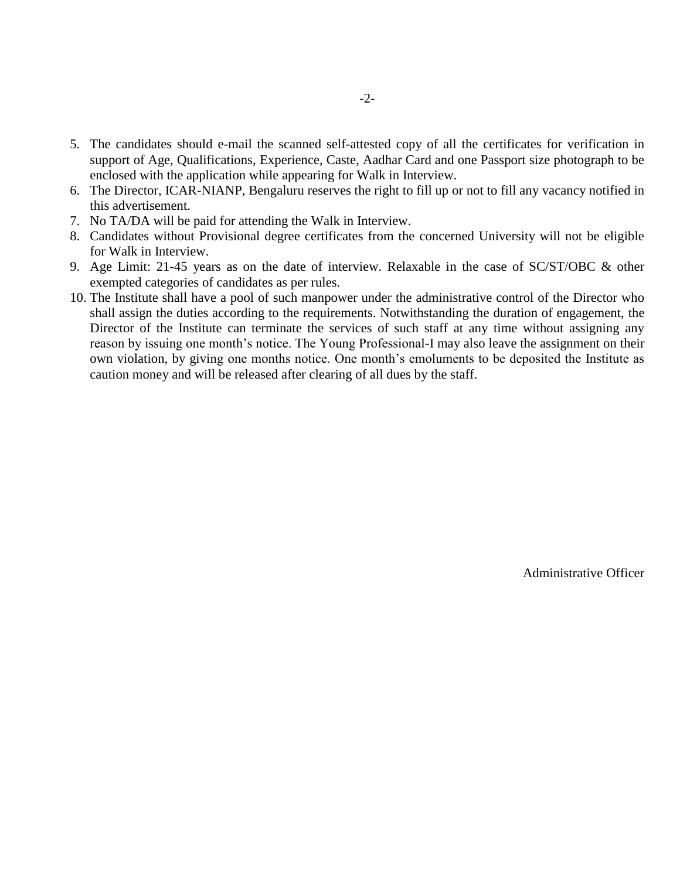- 5. The candidates should e-mail the scanned self-attested copy of all the certificates for verification in support of Age, Qualifications, Experience, Caste, Aadhar Card and one Passport size photograph to be enclosed with the application while appearing for Walk in Interview.
- 6. The Director, ICAR-NIANP, Bengaluru reserves the right to fill up or not to fill any vacancy notified in this advertisement.
- 7. No TA/DA will be paid for attending the Walk in Interview.
- 8. Candidates without Provisional degree certificates from the concerned University will not be eligible for Walk in Interview.
- 9. Age Limit: 21-45 years as on the date of interview. Relaxable in the case of SC/ST/OBC & other exempted categories of candidates as per rules.
- 10. The Institute shall have a pool of such manpower under the administrative control of the Director who shall assign the duties according to the requirements. Notwithstanding the duration of engagement, the Director of the Institute can terminate the services of such staff at any time without assigning any reason by issuing one month's notice. The Young Professional-I may also leave the assignment on their own violation, by giving one months notice. One month's emoluments to be deposited the Institute as caution money and will be released after clearing of all dues by the staff.

Administrative Officer